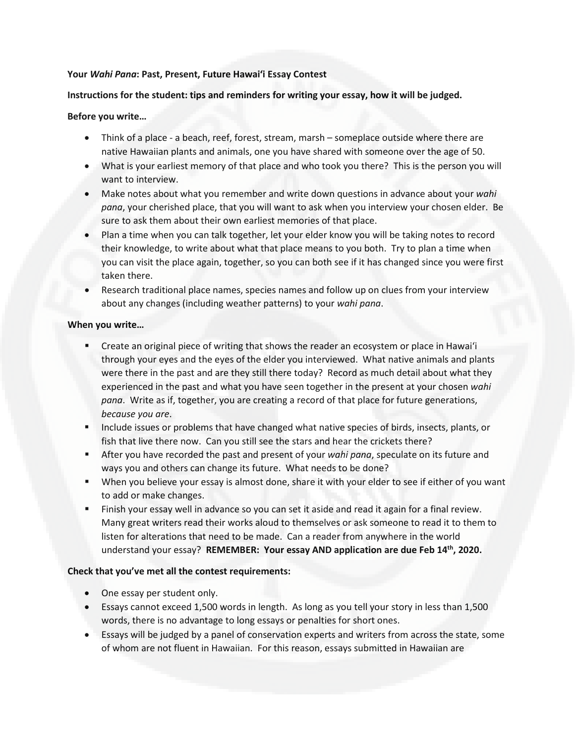## **Your** *Wahi Pana***: Past, Present, Future Hawai'i Essay Contest**

## **Instructions for the student: tips and reminders for writing your essay, how it will be judged.**

## **Before you write…**

- Think of a place a beach, reef, forest, stream, marsh someplace outside where there are native Hawaiian plants and animals, one you have shared with someone over the age of 50.
- What is your earliest memory of that place and who took you there? This is the person you will want to interview.
- Make notes about what you remember and write down questions in advance about your *wahi pana*, your cherished place, that you will want to ask when you interview your chosen elder. Be sure to ask them about their own earliest memories of that place.
- Plan a time when you can talk together, let your elder know you will be taking notes to record their knowledge, to write about what that place means to you both. Try to plan a time when you can visit the place again, together, so you can both see if it has changed since you were first taken there.
- Research traditional place names, species names and follow up on clues from your interview about any changes (including weather patterns) to your *wahi pana*.

## **When you write…**

- Create an original piece of writing that shows the reader an ecosystem or place in Hawai'i through your eyes and the eyes of the elder you interviewed. What native animals and plants were there in the past and are they still there today? Record as much detail about what they experienced in the past and what you have seen together in the present at your chosen *wahi pana*. Write as if, together, you are creating a record of that place for future generations, *because you are*.
- **Include issues or problems that have changed what native species of birds, insects, plants, or** fish that live there now. Can you still see the stars and hear the crickets there?
- After you have recorded the past and present of your *wahi pana*, speculate on its future and ways you and others can change its future. What needs to be done?
- When you believe your essay is almost done, share it with your elder to see if either of you want to add or make changes.
- Finish your essay well in advance so you can set it aside and read it again for a final review. Many great writers read their works aloud to themselves or ask someone to read it to them to listen for alterations that need to be made. Can a reader from anywhere in the world understand your essay? **REMEMBER: Your essay AND application are due Feb 14th, 2020.**

## **Check that you've met all the contest requirements:**

- One essay per student only.
- Essays cannot exceed 1,500 words in length. As long as you tell your story in less than 1,500 words, there is no advantage to long essays or penalties for short ones.
- Essays will be judged by a panel of conservation experts and writers from across the state, some of whom are not fluent in Hawaiian. For this reason, essays submitted in Hawaiian are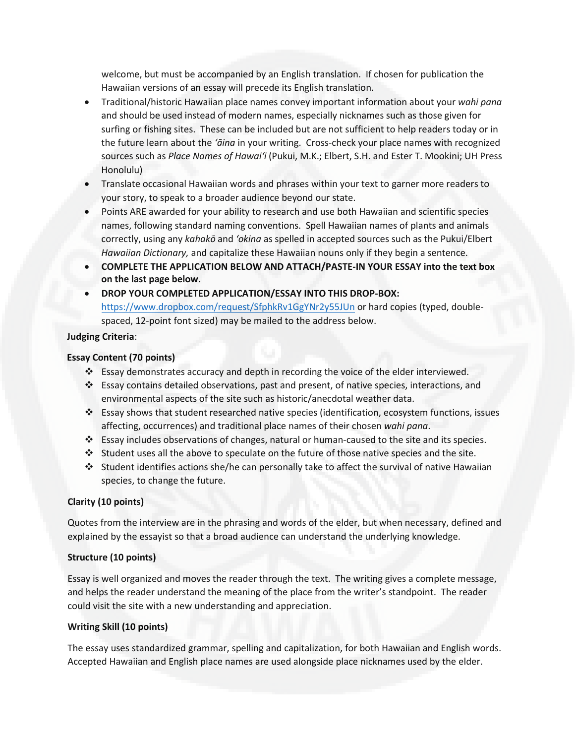welcome, but must be accompanied by an English translation. If chosen for publication the Hawaiian versions of an essay will precede its English translation.

- Traditional/historic Hawaiian place names convey important information about your *wahi pana* and should be used instead of modern names, especially nicknames such as those given for surfing or fishing sites. These can be included but are not sufficient to help readers today or in the future learn about the *'āina* in your writing. Cross-check your place names with recognized sources such as *Place Names of Hawai'i* (Pukui, M.K.; Elbert, S.H. and Ester T. Mookini; UH Press Honolulu)
- Translate occasional Hawaiian words and phrases within your text to garner more readers to your story, to speak to a broader audience beyond our state.
- Points ARE awarded for your ability to research and use both Hawaiian and scientific species names, following standard naming conventions. Spell Hawaiian names of plants and animals correctly, using any *kahakō* and *'okina* as spelled in accepted sources such as the Pukui/Elbert *Hawaiian Dictionary,* and capitalize these Hawaiian nouns only if they begin a sentence.
- **COMPLETE THE APPLICATION BELOW AND ATTACH/PASTE-IN YOUR ESSAY into the text box on the last page below.**
- **DROP [YOUR COMPLETED APPLICATION/ESSAY](https://www.dropbox.com/request/SfphkRv1GgYNr2y55JUn) INTO THIS DROP-BOX:** https://www.dropbox.com/request/SfphkRv1GgYNr2y55JUn or hard copies (typed, doublespaced, 12-point font sized) may be mailed to the address below.

## **Judging Criteria**:

## **Essay Content (70 points)**

- Essay demonstrates accuracy and depth in recording the voice of the elder interviewed.
- Essay contains detailed observations, past and present, of native species, interactions, and environmental aspects of the site such as historic/anecdotal weather data.
- Essay shows that student researched native species (identification, ecosystem functions, issues affecting, occurrences) and traditional place names of their chosen *wahi pana*.
- Essay includes observations of changes, natural or human-caused to the site and its species.
- $\cdot$  Student uses all the above to speculate on the future of those native species and the site.
- $\cdot$  Student identifies actions she/he can personally take to affect the survival of native Hawaiian species, to change the future.

## **Clarity (10 points)**

Quotes from the interview are in the phrasing and words of the elder, but when necessary, defined and explained by the essayist so that a broad audience can understand the underlying knowledge.

## **Structure (10 points)**

Essay is well organized and moves the reader through the text. The writing gives a complete message, and helps the reader understand the meaning of the place from the writer's standpoint. The reader could visit the site with a new understanding and appreciation.

## **Writing Skill (10 points)**

The essay uses standardized grammar, spelling and capitalization, for both Hawaiian and English words. Accepted Hawaiian and English place names are used alongside place nicknames used by the elder.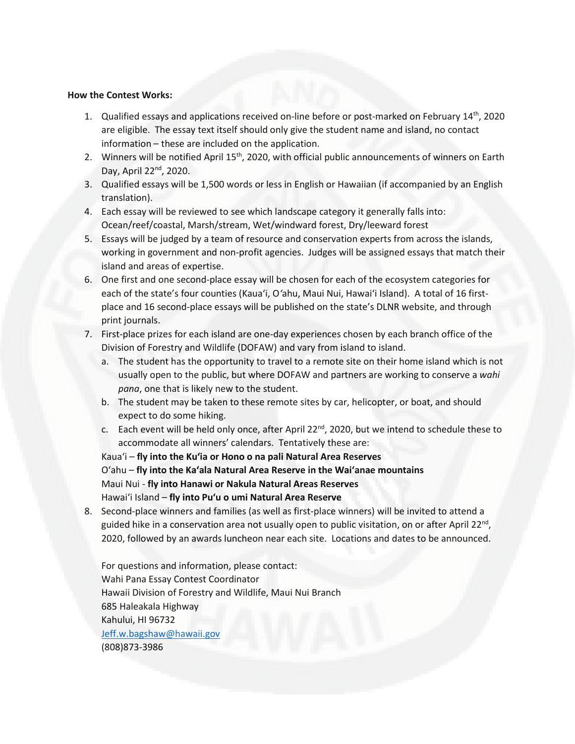#### **How the Contest Works:**

- 1. Qualified essays and applications received on-line before or post-marked on February  $14<sup>th</sup>$ , 2020 are eligible. The essay text itself should only give the student name and island, no contact information – these are included on the application.
- 2. Winners will be notified April 15<sup>th</sup>, 2020, with official public announcements of winners on Earth Day, April 22nd, 2020.
- 3. Qualified essays will be 1,500 words or less in English or Hawaiian (if accompanied by an English translation).
- 4. Each essay will be reviewed to see which landscape category it generally falls into: Ocean/reef/coastal, Marsh/stream, Wet/windward forest, Dry/leeward forest
- 5. Essays will be judged by a team of resource and conservation experts from across the islands, working in government and non-profit agencies. Judges will be assigned essays that match their island and areas of expertise.
- 6. One first and one second-place essay will be chosen for each of the ecosystem categories for each of the state's four counties (Kaua'i, O*'*ahu, Maui Nui, Hawai'i Island). A total of 16 firstplace and 16 second-place essays will be published on the state's DLNR website, and through print journals.
- 7. First-place prizes for each island are one-day experiences chosen by each branch office of the Division of Forestry and Wildlife (DOFAW) and vary from island to island.
	- a. The student has the opportunity to travel to a remote site on their home island which is not usually open to the public, but where DOFAW and partners are working to conserve a *wahi pana*, one that is likely new to the student.
	- b. The student may be taken to these remote sites by car, helicopter, or boat, and should expect to do some hiking.
	- c. Each event will be held only once, after April  $22^{nd}$ , 2020, but we intend to schedule these to accommodate all winners' calendars. Tentatively these are:

Kaua'i – **fly into the Ku'ia or Hono o na pali Natural Area Reserves** O'ahu – **fly into the Ka'ala Natural Area Reserve in the Wai'anae mountains**  Maui Nui - **fly into Hanawi or Nakula Natural Areas Reserves** Hawai'i Island – **fly into Pu'u o umi Natural Area Reserve**

8. Second-place winners and families (as well as first-place winners) will be invited to attend a guided hike in a conservation area not usually open to public visitation, on or after April 22<sup>nd</sup>, 2020, followed by an awards luncheon near each site. Locations and dates to be announced.

For questions and information, please contact: Wahi Pana Essay Contest Coordinator Hawaii Division of Forestry and Wildlife, Maui Nui Branch 685 Haleakala Highway Kahului, HI 96732 [Jeff.w.bagshaw@hawaii.gov](mailto:Jeff.w.bagshaw@hawaii.gov) (808)873-3986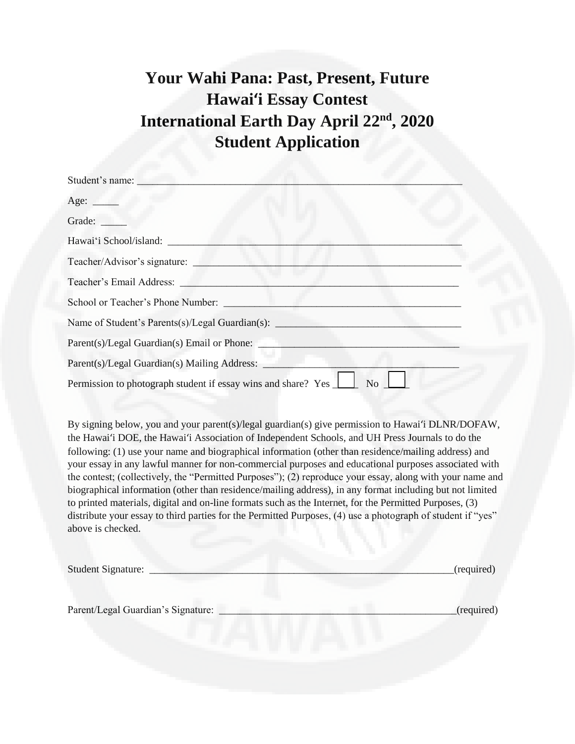# **Your Wahi Pana: Past, Present, Future Hawai'i Essay Contest International Earth Day April 22nd, 2020 Student Application**

| Student's name:                                                     |
|---------------------------------------------------------------------|
| Age: $\qquad \qquad$                                                |
| Grade:                                                              |
| Hawai'i School/island:                                              |
| Teacher/Advisor's signature:                                        |
| Teacher's Email Address: __                                         |
| School or Teacher's Phone Number:                                   |
| Name of Student's Parents(s)/Legal Guardian(s): _____               |
| Parent(s)/Legal Guardian(s) Email or Phone:                         |
| Parent(s)/Legal Guardian(s) Mailing Address: _                      |
| Permission to photograph student if essay wins and share? Yes<br>No |

By signing below, you and your parent(s)/legal guardian(s) give permission to Hawai'i DLNR/DOFAW, the Hawai'i DOE, the Hawai'i Association of Independent Schools, and UH Press Journals to do the following: (1) use your name and biographical information (other than residence/mailing address) and your essay in any lawful manner for non-commercial purposes and educational purposes associated with the contest; (collectively, the "Permitted Purposes"); (2) reproduce your essay, along with your name and biographical information (other than residence/mailing address), in any format including but not limited to printed materials, digital and on-line formats such as the Internet, for the Permitted Purposes, (3) distribute your essay to third parties for the Permitted Purposes, (4) use a photograph of student if "yes" above is checked.

| <b>Student Signature:</b>          | (required) |
|------------------------------------|------------|
| Parent/Legal Guardian's Signature: | (required) |